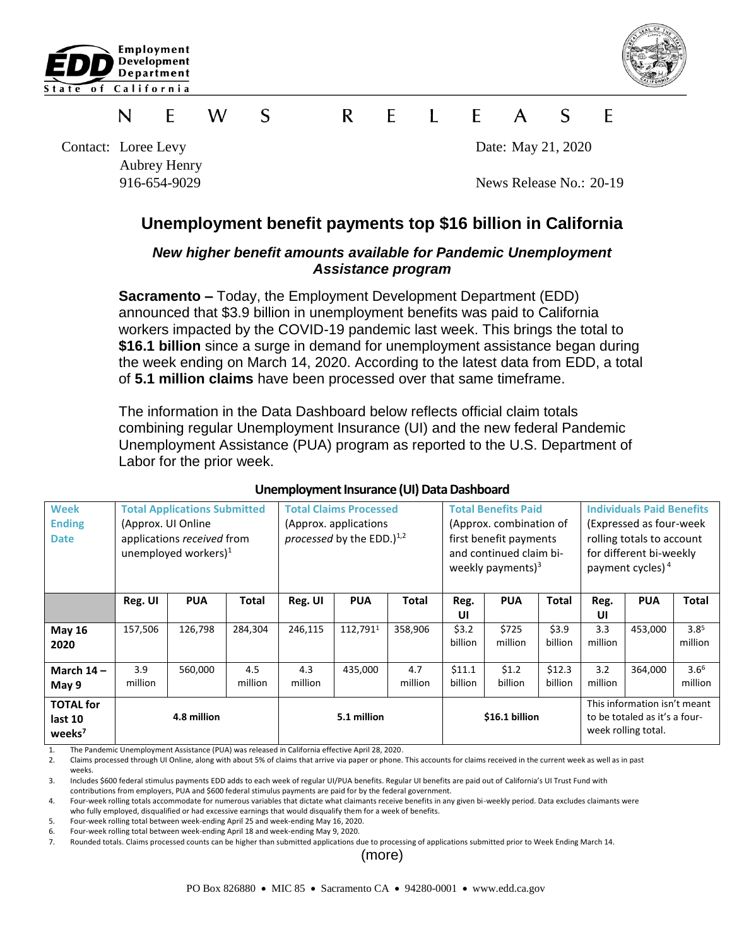



### $\mathsf{R}$  $\mathbf{I}$  $\mathsf{S}$ W S E F  $\mathsf{A}$ F N F

Contact: Loree Levy Date: May 21, 2020 Aubrey Henry

916-654-9029 News Release No.: 20-19

# **Unemployment benefit payments top \$16 billion in California**

## *New higher benefit amounts available for Pandemic Unemployment Assistance program*

**Sacramento –** Today, the Employment Development Department (EDD) announced that \$3.9 billion in unemployment benefits was paid to California workers impacted by the COVID-19 pandemic last week. This brings the total to **\$16.1 billion** since a surge in demand for unemployment assistance began during the week ending on March 14, 2020. According to the latest data from EDD, a total of **5.1 million claims** have been processed over that same timeframe.

The information in the Data Dashboard below reflects official claim totals combining regular Unemployment Insurance (UI) and the new federal Pandemic Unemployment Assistance (PUA) program as reported to the U.S. Department of Labor for the prior week.

| <b>Week</b><br><b>Ending</b><br><b>Date</b>       | <b>Total Applications Submitted</b><br>(Approx. UI Online)<br>applications received from<br>unemployed workers) $1$ |            |                | <b>Total Claims Processed</b><br>(Approx. applications<br>processed by the EDD. $)^{1,2}$ |            |                | <b>Total Benefits Paid</b><br>(Approx. combination of<br>first benefit payments<br>and continued claim bi-<br>weekly payments) $3$ |                  |                   | <b>Individuals Paid Benefits</b><br>(Expressed as four-week)<br>rolling totals to account<br>for different bi-weekly<br>payment cycles) <sup>4</sup> |            |                             |
|---------------------------------------------------|---------------------------------------------------------------------------------------------------------------------|------------|----------------|-------------------------------------------------------------------------------------------|------------|----------------|------------------------------------------------------------------------------------------------------------------------------------|------------------|-------------------|------------------------------------------------------------------------------------------------------------------------------------------------------|------------|-----------------------------|
|                                                   | Reg. UI                                                                                                             | <b>PUA</b> | Total          | Reg. UI                                                                                   | <b>PUA</b> | Total          | Reg.<br>UI                                                                                                                         | <b>PUA</b>       | <b>Total</b>      | Reg.<br>UI                                                                                                                                           | <b>PUA</b> | <b>Total</b>                |
| <b>May 16</b><br>2020                             | 157,506                                                                                                             | 126,798    | 284,304        | 246,115                                                                                   | 112,7911   | 358,906        | \$3.2<br>billion                                                                                                                   | \$725<br>million | \$3.9<br>billion  | 3.3<br>million                                                                                                                                       | 453,000    | 3.8 <sup>5</sup><br>million |
| March $14 -$<br>May 9                             | 3.9<br>million                                                                                                      | 560,000    | 4.5<br>million | 4.3<br>million                                                                            | 435,000    | 4.7<br>million | \$11.1<br>billion                                                                                                                  | \$1.2<br>billion | \$12.3<br>billion | 3.2<br>million                                                                                                                                       | 364,000    | 3.6 <sup>6</sup><br>million |
| <b>TOTAL for</b><br>last 10<br>weeks <sup>7</sup> | 4.8 million                                                                                                         |            |                | 5.1 million                                                                               |            |                | \$16.1 billion                                                                                                                     |                  |                   | This information isn't meant<br>to be totaled as it's a four-<br>week rolling total.                                                                 |            |                             |

### **Unemployment Insurance (UI) Data Dashboard**

1. The Pandemic Unemployment Assistance (PUA) was released in California effective April 28, 2020.<br>2. Claims processed through UI Online, along with about 5% of claims that arrive via paper or phone.

2. Claims processed through UI Online, along with about 5% of claims that arrive via paper or phone. This accounts for claims received in the current week as well as in past weeks.

3. Includes \$600 federal stimulus payments EDD adds to each week of regular UI/PUA benefits. Regular UI benefits are paid out of California's UI Trust Fund with contributions from employers, PUA and \$600 federal stimulus payments are paid for by the federal government.

4. Four-week rolling totals accommodate for numerous variables that dictate what claimants receive benefits in any given bi-weekly period. Data excludes claimants were who fully employed, disqualified or had excessive earnings that would disqualify them for a week of benefits.

5. Four-week rolling total between week-ending April 25 and week-ending May 16, 2020.

6. Four-week rolling total between week-ending April 18 and week-ending May 9, 2020.

7. Rounded totals. Claims processed counts can be higher than submitted applications due to processing of applications submitted prior to Week Ending March 14.

(more)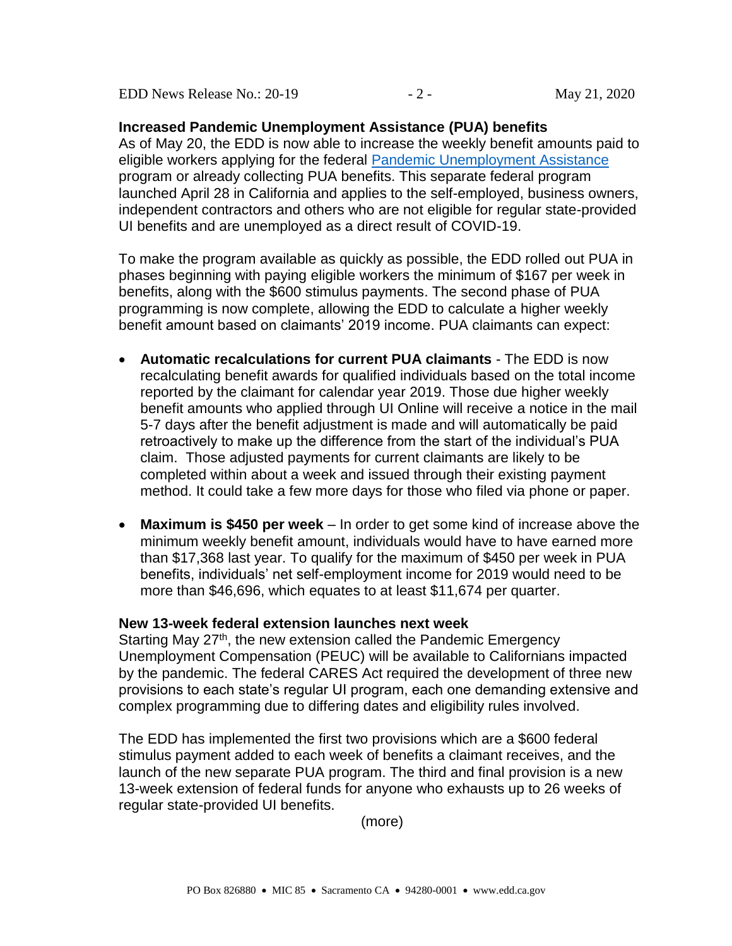EDD News Release No.: 20-19 - 2 - May 21, 2020

**Increased Pandemic Unemployment Assistance (PUA) benefits**  As of May 20, the EDD is now able to increase the weekly benefit amounts paid to eligible workers applying for the federal [Pandemic Unemployment Assistance](https://www.edd.ca.gov/about_edd/coronavirus-2019/pandemic-unemployment-assistance.htm) program or already collecting PUA benefits. This separate federal program launched April 28 in California and applies to the self-employed, business owners, independent contractors and others who are not eligible for regular state-provided UI benefits and are unemployed as a direct result of COVID-19.

To make the program available as quickly as possible, the EDD rolled out PUA in phases beginning with paying eligible workers the minimum of \$167 per week in benefits, along with the \$600 stimulus payments. The second phase of PUA programming is now complete, allowing the EDD to calculate a higher weekly benefit amount based on claimants' 2019 income. PUA claimants can expect:

- **Automatic recalculations for current PUA claimants**  The EDD is now recalculating benefit awards for qualified individuals based on the total income reported by the claimant for calendar year 2019. Those due higher weekly benefit amounts who applied through UI Online will receive a notice in the mail 5-7 days after the benefit adjustment is made and will automatically be paid retroactively to make up the difference from the start of the individual's PUA claim. Those adjusted payments for current claimants are likely to be completed within about a week and issued through their existing payment method. It could take a few more days for those who filed via phone or paper.
- **Maximum is \$450 per week** In order to get some kind of increase above the minimum weekly benefit amount, individuals would have to have earned more than \$17,368 last year. To qualify for the maximum of \$450 per week in PUA benefits, individuals' net self-employment income for 2019 would need to be more than \$46,696, which equates to at least \$11,674 per quarter.

## **New 13-week federal extension launches next week**

Starting May 27<sup>th</sup>, the new extension called the Pandemic Emergency Unemployment Compensation (PEUC) will be available to Californians impacted by the pandemic. The federal CARES Act required the development of three new provisions to each state's regular UI program, each one demanding extensive and complex programming due to differing dates and eligibility rules involved.

The EDD has implemented the first two provisions which are a \$600 federal stimulus payment added to each week of benefits a claimant receives, and the launch of the new separate PUA program. The third and final provision is a new 13-week extension of federal funds for anyone who exhausts up to 26 weeks of regular state-provided UI benefits.

(more)